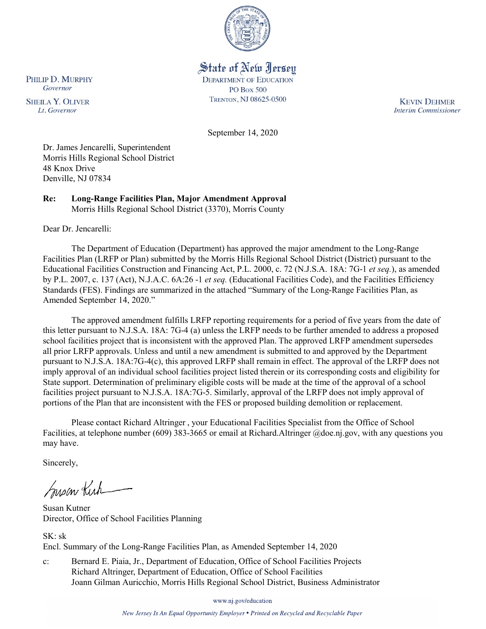

# State of New Jersey

**DEPARTMENT OF EDUCATION PO Box 500** TRENTON, NJ 08625-0500

**KEVIN DEHMER Interim Commissioner** 

September 14, 2020

Dr. James Jencarelli, Superintendent Morris Hills Regional School District 48 Knox Drive Denville, NJ 07834

**Re: Long-Range Facilities Plan, Major Amendment Approval**  Morris Hills Regional School District (3370), Morris County

Dear Dr. Jencarelli:

The Department of Education (Department) has approved the major amendment to the Long-Range Facilities Plan (LRFP or Plan) submitted by the Morris Hills Regional School District (District) pursuant to the Educational Facilities Construction and Financing Act, P.L. 2000, c. 72 (N.J.S.A. 18A: 7G-1 *et seq.*), as amended by P.L. 2007, c. 137 (Act), N.J.A.C. 6A:26 -1 *et seq.* (Educational Facilities Code), and the Facilities Efficiency Standards (FES). Findings are summarized in the attached "Summary of the Long-Range Facilities Plan, as Amended September 14, 2020."

The approved amendment fulfills LRFP reporting requirements for a period of five years from the date of this letter pursuant to N.J.S.A. 18A: 7G-4 (a) unless the LRFP needs to be further amended to address a proposed school facilities project that is inconsistent with the approved Plan. The approved LRFP amendment supersedes all prior LRFP approvals. Unless and until a new amendment is submitted to and approved by the Department pursuant to N.J.S.A. 18A:7G-4(c), this approved LRFP shall remain in effect. The approval of the LRFP does not imply approval of an individual school facilities project listed therein or its corresponding costs and eligibility for State support. Determination of preliminary eligible costs will be made at the time of the approval of a school facilities project pursuant to N.J.S.A. 18A:7G-5. Similarly, approval of the LRFP does not imply approval of portions of the Plan that are inconsistent with the FES or proposed building demolition or replacement.

Please contact Richard Altringer , your Educational Facilities Specialist from the Office of School Facilities, at telephone number (609) 383-3665 or email at Richard.Altringer @doe.nj.gov, with any questions you may have.

Sincerely,

Susan Kich

Susan Kutner Director, Office of School Facilities Planning

SK: sk Encl. Summary of the Long-Range Facilities Plan, as Amended September 14, 2020

c: Bernard E. Piaia, Jr., Department of Education, Office of School Facilities Projects Richard Altringer, Department of Education, Office of School Facilities Joann Gilman Auricchio, Morris Hills Regional School District, Business Administrator

www.nj.gov/education

New Jersey Is An Equal Opportunity Employer . Printed on Recycled and Recyclable Paper

PHILIP D. MURPHY Governor

**SHEILA Y. OLIVER** Lt. Governor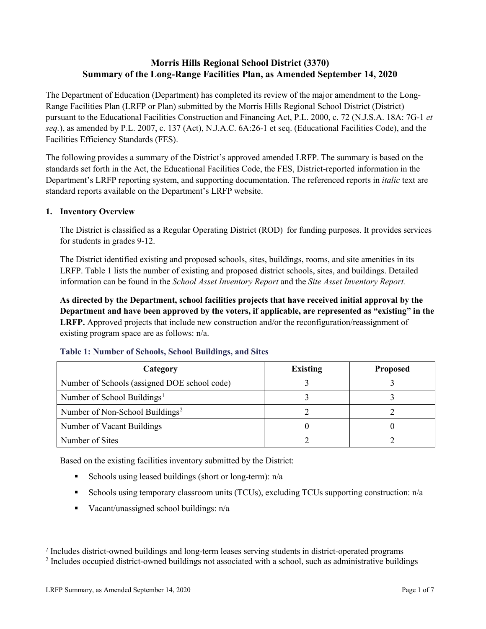# **Morris Hills Regional School District (3370) Summary of the Long-Range Facilities Plan, as Amended September 14, 2020**

The Department of Education (Department) has completed its review of the major amendment to the Long-Range Facilities Plan (LRFP or Plan) submitted by the Morris Hills Regional School District (District) pursuant to the Educational Facilities Construction and Financing Act, P.L. 2000, c. 72 (N.J.S.A. 18A: 7G-1 *et seq.*), as amended by P.L. 2007, c. 137 (Act), N.J.A.C. 6A:26-1 et seq. (Educational Facilities Code), and the Facilities Efficiency Standards (FES).

The following provides a summary of the District's approved amended LRFP. The summary is based on the standards set forth in the Act, the Educational Facilities Code, the FES, District-reported information in the Department's LRFP reporting system, and supporting documentation. The referenced reports in *italic* text are standard reports available on the Department's LRFP website.

#### **1. Inventory Overview**

The District is classified as a Regular Operating District (ROD) for funding purposes. It provides services for students in grades 9-12.

The District identified existing and proposed schools, sites, buildings, rooms, and site amenities in its LRFP. Table 1 lists the number of existing and proposed district schools, sites, and buildings. Detailed information can be found in the *School Asset Inventory Report* and the *Site Asset Inventory Report.*

**As directed by the Department, school facilities projects that have received initial approval by the Department and have been approved by the voters, if applicable, are represented as "existing" in the LRFP.** Approved projects that include new construction and/or the reconfiguration/reassignment of existing program space are as follows: n/a.

| Category                                     | <b>Existing</b> | <b>Proposed</b> |
|----------------------------------------------|-----------------|-----------------|
| Number of Schools (assigned DOE school code) |                 |                 |
| Number of School Buildings <sup>1</sup>      |                 |                 |
| Number of Non-School Buildings <sup>2</sup>  |                 |                 |
| Number of Vacant Buildings                   |                 |                 |
| Number of Sites                              |                 |                 |

#### **Table 1: Number of Schools, School Buildings, and Sites**

Based on the existing facilities inventory submitted by the District:

- Schools using leased buildings (short or long-term):  $n/a$
- Schools using temporary classroom units (TCUs), excluding TCUs supporting construction: n/a
- Vacant/unassigned school buildings:  $n/a$

 $\overline{a}$ 

<span id="page-1-1"></span><span id="page-1-0"></span>*<sup>1</sup>* Includes district-owned buildings and long-term leases serving students in district-operated programs

<sup>&</sup>lt;sup>2</sup> Includes occupied district-owned buildings not associated with a school, such as administrative buildings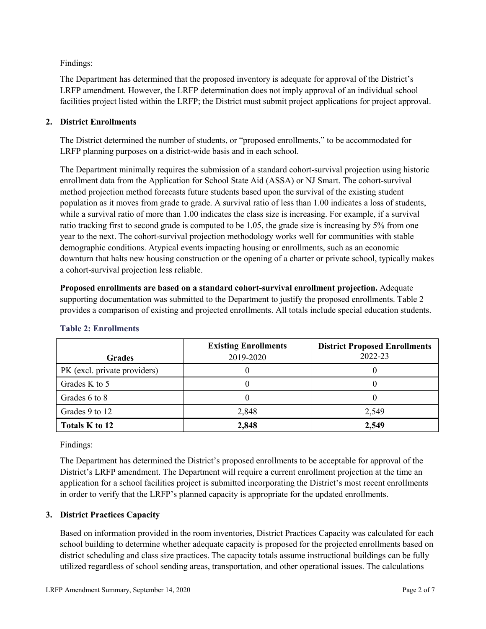Findings:

The Department has determined that the proposed inventory is adequate for approval of the District's LRFP amendment. However, the LRFP determination does not imply approval of an individual school facilities project listed within the LRFP; the District must submit project applications for project approval.

# **2. District Enrollments**

The District determined the number of students, or "proposed enrollments," to be accommodated for LRFP planning purposes on a district-wide basis and in each school.

The Department minimally requires the submission of a standard cohort-survival projection using historic enrollment data from the Application for School State Aid (ASSA) or NJ Smart. The cohort-survival method projection method forecasts future students based upon the survival of the existing student population as it moves from grade to grade. A survival ratio of less than 1.00 indicates a loss of students, while a survival ratio of more than 1.00 indicates the class size is increasing. For example, if a survival ratio tracking first to second grade is computed to be 1.05, the grade size is increasing by 5% from one year to the next. The cohort-survival projection methodology works well for communities with stable demographic conditions. Atypical events impacting housing or enrollments, such as an economic downturn that halts new housing construction or the opening of a charter or private school, typically makes a cohort-survival projection less reliable.

**Proposed enrollments are based on a standard cohort-survival enrollment projection.** Adequate supporting documentation was submitted to the Department to justify the proposed enrollments. Table 2 provides a comparison of existing and projected enrollments. All totals include special education students.

| <b>Grades</b>                | <b>Existing Enrollments</b><br>2019-2020 | <b>District Proposed Enrollments</b><br>2022-23 |
|------------------------------|------------------------------------------|-------------------------------------------------|
| PK (excl. private providers) |                                          |                                                 |
| Grades K to 5                |                                          |                                                 |
| Grades 6 to 8                |                                          |                                                 |
| Grades 9 to 12               | 2,848                                    | 2,549                                           |
| Totals K to 12               | 2,848                                    | 2,549                                           |

# **Table 2: Enrollments**

Findings:

The Department has determined the District's proposed enrollments to be acceptable for approval of the District's LRFP amendment. The Department will require a current enrollment projection at the time an application for a school facilities project is submitted incorporating the District's most recent enrollments in order to verify that the LRFP's planned capacity is appropriate for the updated enrollments.

## **3. District Practices Capacity**

Based on information provided in the room inventories, District Practices Capacity was calculated for each school building to determine whether adequate capacity is proposed for the projected enrollments based on district scheduling and class size practices. The capacity totals assume instructional buildings can be fully utilized regardless of school sending areas, transportation, and other operational issues. The calculations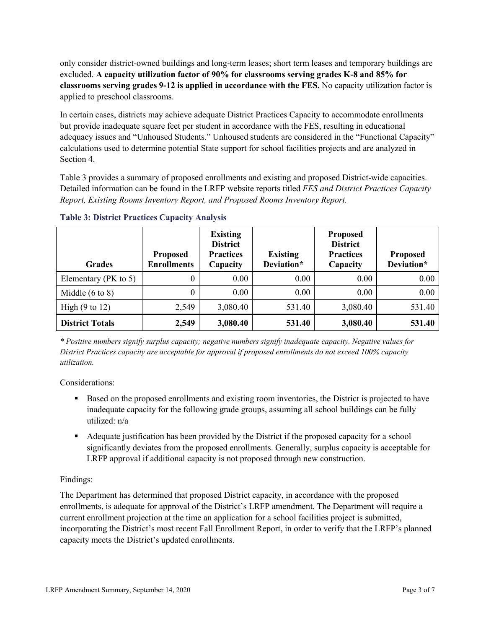only consider district-owned buildings and long-term leases; short term leases and temporary buildings are excluded. **A capacity utilization factor of 90% for classrooms serving grades K-8 and 85% for classrooms serving grades 9-12 is applied in accordance with the FES.** No capacity utilization factor is applied to preschool classrooms.

In certain cases, districts may achieve adequate District Practices Capacity to accommodate enrollments but provide inadequate square feet per student in accordance with the FES, resulting in educational adequacy issues and "Unhoused Students." Unhoused students are considered in the "Functional Capacity" calculations used to determine potential State support for school facilities projects and are analyzed in Section 4.

Table 3 provides a summary of proposed enrollments and existing and proposed District-wide capacities. Detailed information can be found in the LRFP website reports titled *FES and District Practices Capacity Report, Existing Rooms Inventory Report, and Proposed Rooms Inventory Report.*

| <b>Grades</b>              | <b>Proposed</b><br><b>Enrollments</b> | <b>Existing</b><br><b>District</b><br><b>Practices</b><br>Capacity | <b>Existing</b><br>Deviation* | <b>Proposed</b><br><b>District</b><br><b>Practices</b><br>Capacity | <b>Proposed</b><br>Deviation* |
|----------------------------|---------------------------------------|--------------------------------------------------------------------|-------------------------------|--------------------------------------------------------------------|-------------------------------|
| Elementary ( $PK$ to 5)    | 0                                     | 0.00                                                               | 0.00                          | 0.00                                                               | 0.00                          |
| Middle $(6 \text{ to } 8)$ | 0                                     | 0.00                                                               | 0.00                          | 0.00                                                               | 0.00                          |
| High $(9 \text{ to } 12)$  | 2,549                                 | 3,080.40                                                           | 531.40                        | 3,080.40                                                           | 531.40                        |
| <b>District Totals</b>     | 2,549                                 | 3,080.40                                                           | 531.40                        | 3,080.40                                                           | 531.40                        |

**Table 3: District Practices Capacity Analysis**

*\* Positive numbers signify surplus capacity; negative numbers signify inadequate capacity. Negative values for District Practices capacity are acceptable for approval if proposed enrollments do not exceed 100% capacity utilization.*

Considerations:

- Based on the proposed enrollments and existing room inventories, the District is projected to have inadequate capacity for the following grade groups, assuming all school buildings can be fully utilized: n/a
- Adequate justification has been provided by the District if the proposed capacity for a school significantly deviates from the proposed enrollments. Generally, surplus capacity is acceptable for LRFP approval if additional capacity is not proposed through new construction.

## Findings:

The Department has determined that proposed District capacity, in accordance with the proposed enrollments, is adequate for approval of the District's LRFP amendment. The Department will require a current enrollment projection at the time an application for a school facilities project is submitted, incorporating the District's most recent Fall Enrollment Report, in order to verify that the LRFP's planned capacity meets the District's updated enrollments.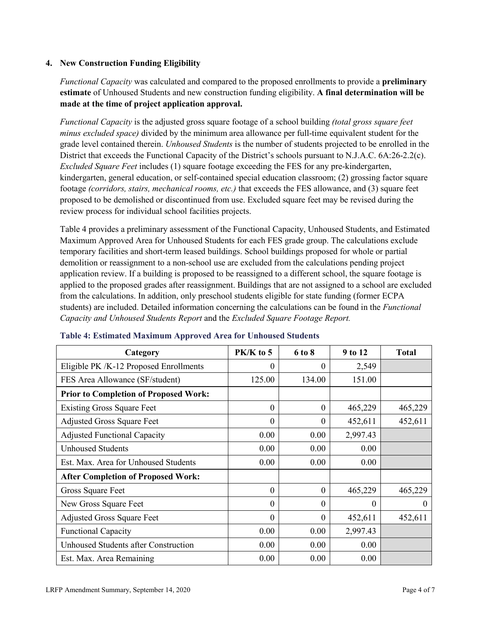#### **4. New Construction Funding Eligibility**

*Functional Capacity* was calculated and compared to the proposed enrollments to provide a **preliminary estimate** of Unhoused Students and new construction funding eligibility. **A final determination will be made at the time of project application approval.**

*Functional Capacity* is the adjusted gross square footage of a school building *(total gross square feet minus excluded space)* divided by the minimum area allowance per full-time equivalent student for the grade level contained therein. *Unhoused Students* is the number of students projected to be enrolled in the District that exceeds the Functional Capacity of the District's schools pursuant to N.J.A.C. 6A:26-2.2(c). *Excluded Square Feet* includes (1) square footage exceeding the FES for any pre-kindergarten, kindergarten, general education, or self-contained special education classroom; (2) grossing factor square footage *(corridors, stairs, mechanical rooms, etc.)* that exceeds the FES allowance, and (3) square feet proposed to be demolished or discontinued from use. Excluded square feet may be revised during the review process for individual school facilities projects.

Table 4 provides a preliminary assessment of the Functional Capacity, Unhoused Students, and Estimated Maximum Approved Area for Unhoused Students for each FES grade group. The calculations exclude temporary facilities and short-term leased buildings. School buildings proposed for whole or partial demolition or reassignment to a non-school use are excluded from the calculations pending project application review. If a building is proposed to be reassigned to a different school, the square footage is applied to the proposed grades after reassignment. Buildings that are not assigned to a school are excluded from the calculations. In addition, only preschool students eligible for state funding (former ECPA students) are included. Detailed information concerning the calculations can be found in the *Functional Capacity and Unhoused Students Report* and the *Excluded Square Footage Report.*

| Category                                     | PK/K to 5 | 6 to 8   | 9 to 12  | <b>Total</b> |
|----------------------------------------------|-----------|----------|----------|--------------|
| Eligible PK /K-12 Proposed Enrollments       | 0         | 0        | 2,549    |              |
| FES Area Allowance (SF/student)              | 125.00    | 134.00   | 151.00   |              |
| <b>Prior to Completion of Proposed Work:</b> |           |          |          |              |
| <b>Existing Gross Square Feet</b>            | $\theta$  | $\theta$ | 465,229  | 465,229      |
| <b>Adjusted Gross Square Feet</b>            | $\theta$  | $\theta$ | 452,611  | 452,611      |
| <b>Adjusted Functional Capacity</b>          | 0.00      | 0.00     | 2,997.43 |              |
| <b>Unhoused Students</b>                     | 0.00      | 0.00     | 0.00     |              |
| Est. Max. Area for Unhoused Students         | 0.00      | 0.00     | 0.00     |              |
| <b>After Completion of Proposed Work:</b>    |           |          |          |              |
| Gross Square Feet                            | $\theta$  | $\theta$ | 465,229  | 465,229      |
| New Gross Square Feet                        | $\theta$  | $\Omega$ | 0        | $\theta$     |
| <b>Adjusted Gross Square Feet</b>            | $\Omega$  | $\Omega$ | 452,611  | 452,611      |
| <b>Functional Capacity</b>                   | 0.00      | 0.00     | 2,997.43 |              |
| <b>Unhoused Students after Construction</b>  | 0.00      | 0.00     | 0.00     |              |
| Est. Max. Area Remaining                     | 0.00      | 0.00     | 0.00     |              |

#### **Table 4: Estimated Maximum Approved Area for Unhoused Students**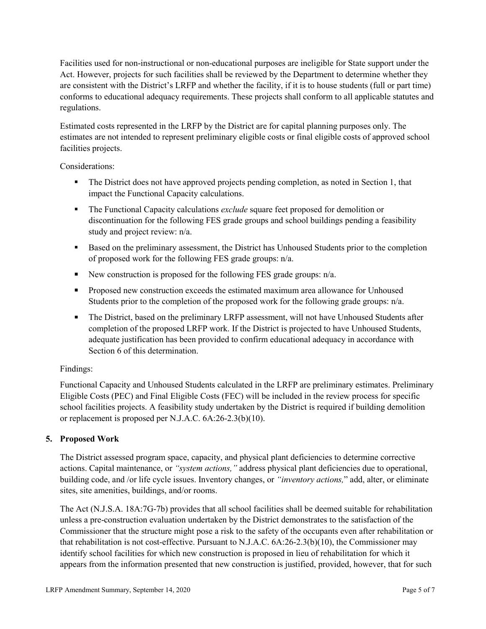Facilities used for non-instructional or non-educational purposes are ineligible for State support under the Act. However, projects for such facilities shall be reviewed by the Department to determine whether they are consistent with the District's LRFP and whether the facility, if it is to house students (full or part time) conforms to educational adequacy requirements. These projects shall conform to all applicable statutes and regulations.

Estimated costs represented in the LRFP by the District are for capital planning purposes only. The estimates are not intended to represent preliminary eligible costs or final eligible costs of approved school facilities projects.

Considerations:

- The District does not have approved projects pending completion, as noted in Section 1, that impact the Functional Capacity calculations.
- **The Functional Capacity calculations** *exclude* square feet proposed for demolition or discontinuation for the following FES grade groups and school buildings pending a feasibility study and project review: n/a.
- Based on the preliminary assessment, the District has Unhoused Students prior to the completion of proposed work for the following FES grade groups: n/a.
- New construction is proposed for the following FES grade groups: n/a.
- Proposed new construction exceeds the estimated maximum area allowance for Unhoused Students prior to the completion of the proposed work for the following grade groups: n/a.
- The District, based on the preliminary LRFP assessment, will not have Unhoused Students after completion of the proposed LRFP work. If the District is projected to have Unhoused Students, adequate justification has been provided to confirm educational adequacy in accordance with Section 6 of this determination.

## Findings:

Functional Capacity and Unhoused Students calculated in the LRFP are preliminary estimates. Preliminary Eligible Costs (PEC) and Final Eligible Costs (FEC) will be included in the review process for specific school facilities projects. A feasibility study undertaken by the District is required if building demolition or replacement is proposed per N.J.A.C. 6A:26-2.3(b)(10).

## **5. Proposed Work**

The District assessed program space, capacity, and physical plant deficiencies to determine corrective actions. Capital maintenance, or *"system actions,"* address physical plant deficiencies due to operational, building code, and /or life cycle issues. Inventory changes, or *"inventory actions,*" add, alter, or eliminate sites, site amenities, buildings, and/or rooms.

The Act (N.J.S.A. 18A:7G-7b) provides that all school facilities shall be deemed suitable for rehabilitation unless a pre-construction evaluation undertaken by the District demonstrates to the satisfaction of the Commissioner that the structure might pose a risk to the safety of the occupants even after rehabilitation or that rehabilitation is not cost-effective. Pursuant to N.J.A.C. 6A:26-2.3(b)(10), the Commissioner may identify school facilities for which new construction is proposed in lieu of rehabilitation for which it appears from the information presented that new construction is justified, provided, however, that for such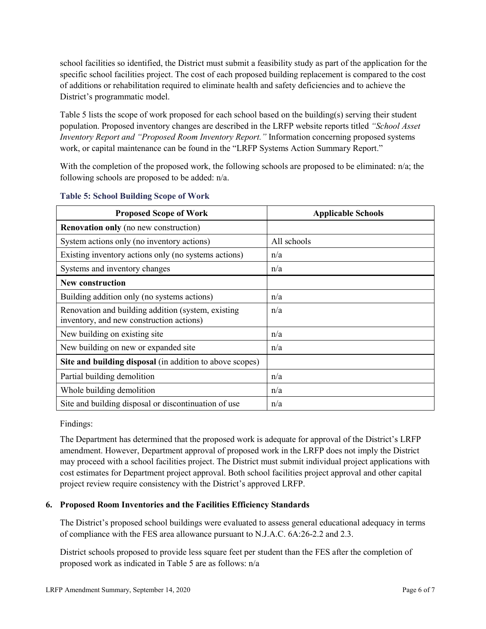school facilities so identified, the District must submit a feasibility study as part of the application for the specific school facilities project. The cost of each proposed building replacement is compared to the cost of additions or rehabilitation required to eliminate health and safety deficiencies and to achieve the District's programmatic model.

Table 5 lists the scope of work proposed for each school based on the building(s) serving their student population. Proposed inventory changes are described in the LRFP website reports titled *"School Asset Inventory Report and "Proposed Room Inventory Report."* Information concerning proposed systems work, or capital maintenance can be found in the "LRFP Systems Action Summary Report."

With the completion of the proposed work, the following schools are proposed to be eliminated: n/a; the following schools are proposed to be added: n/a.

| <b>Proposed Scope of Work</b>                                                                  | <b>Applicable Schools</b> |
|------------------------------------------------------------------------------------------------|---------------------------|
| <b>Renovation only</b> (no new construction)                                                   |                           |
| System actions only (no inventory actions)                                                     | All schools               |
| Existing inventory actions only (no systems actions)                                           | n/a                       |
| Systems and inventory changes                                                                  | n/a                       |
| <b>New construction</b>                                                                        |                           |
| Building addition only (no systems actions)                                                    | n/a                       |
| Renovation and building addition (system, existing<br>inventory, and new construction actions) | n/a                       |
| New building on existing site                                                                  | n/a                       |
| New building on new or expanded site                                                           | n/a                       |
| Site and building disposal (in addition to above scopes)                                       |                           |
| Partial building demolition                                                                    | n/a                       |
| Whole building demolition                                                                      | n/a                       |
| Site and building disposal or discontinuation of use                                           | n/a                       |

#### **Table 5: School Building Scope of Work**

Findings:

The Department has determined that the proposed work is adequate for approval of the District's LRFP amendment. However, Department approval of proposed work in the LRFP does not imply the District may proceed with a school facilities project. The District must submit individual project applications with cost estimates for Department project approval. Both school facilities project approval and other capital project review require consistency with the District's approved LRFP.

## **6. Proposed Room Inventories and the Facilities Efficiency Standards**

The District's proposed school buildings were evaluated to assess general educational adequacy in terms of compliance with the FES area allowance pursuant to N.J.A.C. 6A:26-2.2 and 2.3.

District schools proposed to provide less square feet per student than the FES after the completion of proposed work as indicated in Table 5 are as follows: n/a